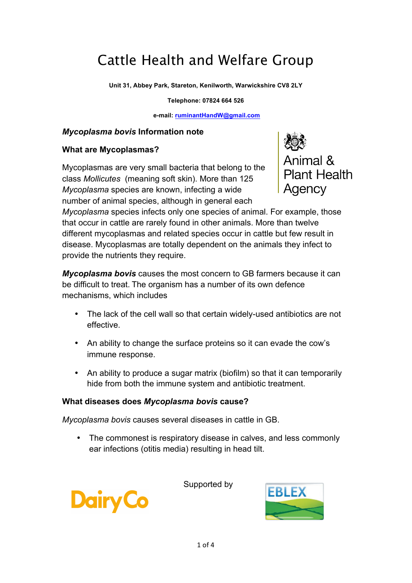# Cattle Health and Welfare Group

**Unit 31, Abbey Park, Stareton, Kenilworth, Warwickshire CV8 2LY**

**Telephone: 07824 664 526**

**e-mail: ruminantHandW@gmail.com**

#### *Mycoplasma bovis* **Information note**

#### **What are Mycoplasmas?**

Mycoplasmas are very small bacteria that belong to the class *Mollicutes* (meaning soft skin). More than 125 *Mycoplasma* species are known, infecting a wide number of animal species, although in general each



*Mycoplasma* species infects only one species of animal. For example, those that occur in cattle are rarely found in other animals. More than twelve different mycoplasmas and related species occur in cattle but few result in disease. Mycoplasmas are totally dependent on the animals they infect to provide the nutrients they require.

*Mycoplasma bovis* causes the most concern to GB farmers because it can be difficult to treat. The organism has a number of its own defence mechanisms, which includes

- The lack of the cell wall so that certain widely-used antibiotics are not effective.
- An ability to change the surface proteins so it can evade the cow's immune response.
- An ability to produce a sugar matrix (biofilm) so that it can temporarily hide from both the immune system and antibiotic treatment.

#### **What diseases does** *Mycoplasma bovis* **cause?**

*Mycoplasma bovis* causes several diseases in cattle in GB.

• The commonest is respiratory disease in calves, and less commonly ear infections (otitis media) resulting in head tilt.



Supported by

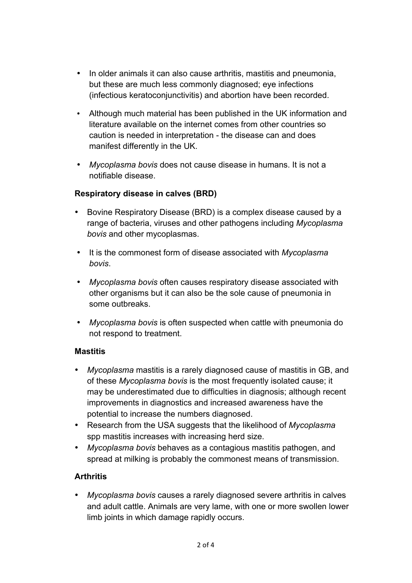- In older animals it can also cause arthritis, mastitis and pneumonia, but these are much less commonly diagnosed; eye infections (infectious keratoconjunctivitis) and abortion have been recorded.
- Although much material has been published in the UK information and literature available on the internet comes from other countries so caution is needed in interpretation - the disease can and does manifest differently in the UK.
- *Mycoplasma bovis* does not cause disease in humans. It is not a notifiable disease.

# **Respiratory disease in calves (BRD)**

- Bovine Respiratory Disease (BRD) is a complex disease caused by a range of bacteria, viruses and other pathogens including *Mycoplasma bovis* and other mycoplasmas.
- It is the commonest form of disease associated with *Mycoplasma bovis*.
- *Mycoplasma bovis* often causes respiratory disease associated with other organisms but it can also be the sole cause of pneumonia in some outbreaks.
- *Mycoplasma bovis* is often suspected when cattle with pneumonia do not respond to treatment.

#### **Mastitis**

- *Mycoplasma* mastitis is a rarely diagnosed cause of mastitis in GB, and of these *Mycoplasma bovis* is the most frequently isolated cause; it may be underestimated due to difficulties in diagnosis; although recent improvements in diagnostics and increased awareness have the potential to increase the numbers diagnosed.
- Research from the USA suggests that the likelihood of *Mycoplasma* spp mastitis increases with increasing herd size.
- *Mycoplasma bovis* behaves as a contagious mastitis pathogen, and spread at milking is probably the commonest means of transmission.

# **Arthritis**

• *Mycoplasma bovis* causes a rarely diagnosed severe arthritis in calves and adult cattle. Animals are very lame, with one or more swollen lower limb joints in which damage rapidly occurs.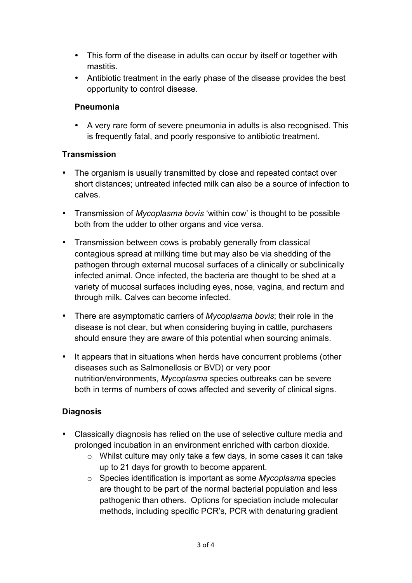- This form of the disease in adults can occur by itself or together with mastitis.
- Antibiotic treatment in the early phase of the disease provides the best opportunity to control disease.

#### **Pneumonia**

• A very rare form of severe pneumonia in adults is also recognised. This is frequently fatal, and poorly responsive to antibiotic treatment.

#### **Transmission**

- The organism is usually transmitted by close and repeated contact over short distances; untreated infected milk can also be a source of infection to calves.
- Transmission of *Mycoplasma bovis* 'within cow' is thought to be possible both from the udder to other organs and vice versa.
- Transmission between cows is probably generally from classical contagious spread at milking time but may also be via shedding of the pathogen through external mucosal surfaces of a clinically or subclinically infected animal. Once infected, the bacteria are thought to be shed at a variety of mucosal surfaces including eyes, nose, vagina, and rectum and through milk. Calves can become infected.
- There are asymptomatic carriers of *Mycoplasma bovis*; their role in the disease is not clear, but when considering buying in cattle, purchasers should ensure they are aware of this potential when sourcing animals.
- It appears that in situations when herds have concurrent problems (other diseases such as Salmonellosis or BVD) or very poor nutrition/environments, *Mycoplasma* species outbreaks can be severe both in terms of numbers of cows affected and severity of clinical signs.

# **Diagnosis**

- Classically diagnosis has relied on the use of selective culture media and prolonged incubation in an environment enriched with carbon dioxide.
	- o Whilst culture may only take a few days, in some cases it can take up to 21 days for growth to become apparent.
	- o Species identification is important as some *Mycoplasma* species are thought to be part of the normal bacterial population and less pathogenic than others. Options for speciation include molecular methods, including specific PCR's, PCR with denaturing gradient